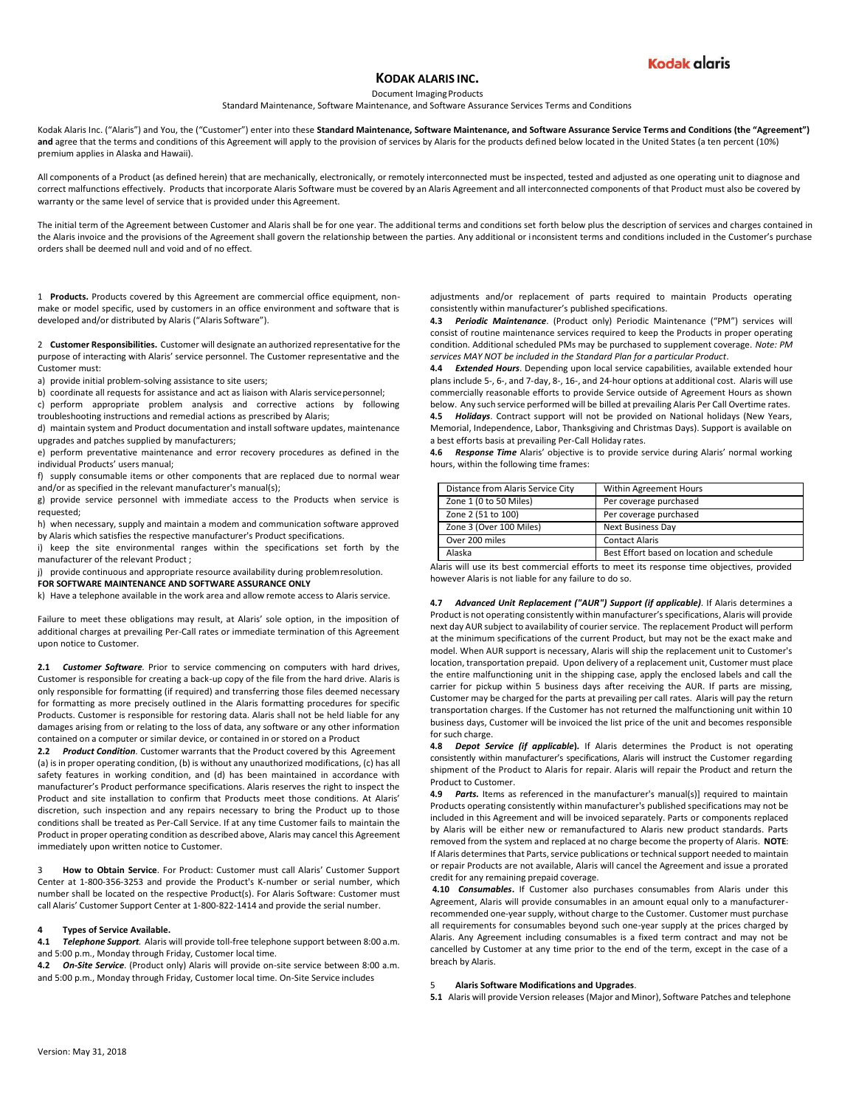

## **KODAK ALARIS INC.**

Document Imaging Products

Standard Maintenance, Software Maintenance, and Software Assurance Services Terms and Conditions

Kodak Alaris Inc. ("Alaris") and You, the ("Customer") enter into these Standard Maintenance, Software Maintenance, and Software Assurance Service Terms and Conditions (the "Agreement") and agree that the terms and conditions of this Agreement will apply to the provision of services by Alaris for the products defined below located in the United States (a ten percent (10%) premium applies in Alaska and Hawaii).

All components of a Product (as defined herein) that are mechanically, electronically, or remotely interconnected must be inspected, tested and adjusted as one operating unit to diagnose and correct malfunctions effectively. Products that incorporate Alaris Software must be covered by an Alaris Agreement and all interconnected components of that Product must also be covered by warranty or the same level of service that is provided under this Agreement.

The initial term of the Agreement between Customer and Alaris shall be for one year. The additional terms and conditions set forth below plus the description of services and charges contained in the Alaris invoice and the provisions of the Agreement shall govern the relationship between the parties. Any additional or inconsistent terms and conditions included in the Customer's purchase orders shall be deemed null and void and of no effect.

1 **Products.** Products covered by this Agreement are commercial office equipment, nonmake or model specific, used by customers in an office environment and software that is developed and/or distributed by Alaris ("Alaris Software").

2 **Customer Responsibilities.** Customer will designate an authorized representative for the purpose of interacting with Alaris' service personnel. The Customer representative and the Customer must:

a) provide initial problem-solving assistance to site users;

b) coordinate all requests for assistance and act as liaison with Alaris servicepersonnel;

c) perform appropriate problem analysis and corrective actions by following troubleshooting instructions and remedial actions as prescribed by Alaris;

d) maintain system and Product documentation and install software updates, maintenance upgrades and patches supplied by manufacturers;

e) perform preventative maintenance and error recovery procedures as defined in the individual Products' users manual;

f) supply consumable items or other components that are replaced due to normal wear and/or as specified in the relevant manufacturer's manual(s);

g) provide service personnel with immediate access to the Products when service is requested;

h) when necessary, supply and maintain a modem and communication software approved by Alaris which satisfies the respective manufacturer's Product specifications.

i) keep the site environmental ranges within the specifications set forth by the manufacturer of the relevant Product ;

j) provide continuous and appropriate resource availability during problemresolution.

**FOR SOFTWARE MAINTENANCE AND SOFTWARE ASSURANCE ONLY**

k) Have a telephone available in the work area and allow remote access to Alaris service.

Failure to meet these obligations may result, at Alaris' sole option, in the imposition of additional charges at prevailing Per-Call rates or immediate termination of this Agreement upon notice to Customer.

**2.1** *Customer Software.* Prior to service commencing on computers with hard drives, Customer is responsible for creating a back-up copy of the file from the hard drive. Alaris is only responsible for formatting (if required) and transferring those files deemed necessary for formatting as more precisely outlined in the Alaris formatting procedures for specific Products. Customer is responsible for restoring data. Alaris shall not be held liable for any damages arising from or relating to the loss of data, any software or any other information contained on a computer or similar device, or contained in or stored on a Product

**2.2** *Product Condition.* Customer warrants that the Product covered by this Agreement (a) is in proper operating condition, (b) is without any unauthorized modifications, (c) has all safety features in working condition, and (d) has been maintained in accordance with manufacturer's Product performance specifications. Alaris reserves the right to inspect the Product and site installation to confirm that Products meet those conditions. At Alaris' discretion, such inspection and any repairs necessary to bring the Product up to those conditions shall be treated as Per-Call Service. If at any time Customer fails to maintain the Product in proper operating condition as described above, Alaris may cancel this Agreement immediately upon written notice to Customer.

3 **How to Obtain Service**. For Product: Customer must call Alaris' Customer Support Center at 1-800-356-3253 and provide the Product's K-number or serial number, which number shall be located on the respective Product(s). For Alaris Software: Customer must call Alaris' Customer Support Center at 1-800-822-1414 and provide the serial number.

## **4 Types of Service Available.**

**4.1** *Telephone Support.* Alaris will provide toll-free telephone support between 8:00 a.m. and 5:00 p.m., Monday through Friday, Customer local time.

**4.2** *On-Site Service*. (Product only) Alaris will provide on-site service between 8:00 a.m. and 5:00 p.m., Monday through Friday, Customer local time. On-Site Service includes

adjustments and/or replacement of parts required to maintain Products operating consistently within manufacturer's published specifications.

**4.3** *Periodic Maintenance*. (Product only) Periodic Maintenance ("PM") services will consist of routine maintenance services required to keep the Products in proper operating condition. Additional scheduled PMs may be purchased to supplement coverage. *Note: PM services MAY NOT be included in the Standard Plan for a particular Product*.

**4.4** *Extended Hours*. Depending upon local service capabilities, available extended hour plans include 5-, 6-, and 7-day, 8-, 16-, and 24-hour options at additional cost. Alaris will use commercially reasonable efforts to provide Service outside of Agreement Hours as shown below. Any such service performed will be billed at prevailing Alaris Per Call Overtime rates. **4.5** *Holidays*. Contract support will not be provided on National holidays (New Years, Memorial, Independence, Labor, Thanksgiving and Christmas Days). Support is available on a best efforts basis at prevailing Per-Call Holiday rates.

**4.6** *Response Time* Alaris' objective is to provide service during Alaris' normal working hours, within the following time frames:

| Distance from Alaris Service City | Within Agreement Hours                     |
|-----------------------------------|--------------------------------------------|
| Zone 1 (0 to 50 Miles)            | Per coverage purchased                     |
| Zone 2 (51 to 100)                | Per coverage purchased                     |
| Zone 3 (Over 100 Miles)           | <b>Next Business Day</b>                   |
| Over 200 miles                    | <b>Contact Alaris</b>                      |
| Alaska                            | Best Effort based on location and schedule |

Alaris will use its best commercial efforts to meet its response time objectives, provided however Alaris is not liable for any failure to do so.

**4.7** *Advanced Unit Replacement ("AUR") Support (if applicable).* If Alaris determines a Product is not operating consistently within manufacturer's specifications, Alaris will provide next day AUR subject to availability of courier service. The replacement Product will perform at the minimum specifications of the current Product, but may not be the exact make and model. When AUR support is necessary, Alaris will ship the replacement unit to Customer's location, transportation prepaid. Upon delivery of a replacement unit, Customer must place the entire malfunctioning unit in the shipping case, apply the enclosed labels and call the carrier for pickup within 5 business days after receiving the AUR. If parts are missing, Customer may be charged for the parts at prevailing per call rates. Alaris will pay the return transportation charges. If the Customer has not returned the malfunctioning unit within 10 business days, Customer will be invoiced the list price of the unit and becomes responsible for such charge.

**4.8** *Depot Service (if applicable***)***.* If Alaris determines the Product is not operating consistently within manufacturer's specifications, Alaris will instruct the Customer regarding shipment of the Product to Alaris for repair. Alaris will repair the Product and return the Product to Customer.

**4.9** *Parts.* Items as referenced in the manufacturer's manual(s)] required to maintain Products operating consistently within manufacturer's published specifications may not be included in this Agreement and will be invoiced separately. Parts or components replaced by Alaris will be either new or remanufactured to Alaris new product standards. Parts removed from the system and replaced at no charge become the property of Alaris. **NOTE**: If Alaris determines that Parts, service publications or technical support needed to maintain or repair Products are not available, Alaris will cancel the Agreement and issue a prorated credit for any remaining prepaid coverage.

**4.10** *Consumables***.** If Customer also purchases consumables from Alaris under this Agreement, Alaris will provide consumables in an amount equal only to a manufacturerrecommended one-year supply, without charge to the Customer. Customer must purchase all requirements for consumables beyond such one-year supply at the prices charged by Alaris. Any Agreement including consumables is a fixed term contract and may not be cancelled by Customer at any time prior to the end of the term, except in the case of a breach by Alaris.

## 5 **Alaris Software Modifications and Upgrades**.

**5.1** Alaris will provide Version releases (Major and Minor), Software Patches and telephone